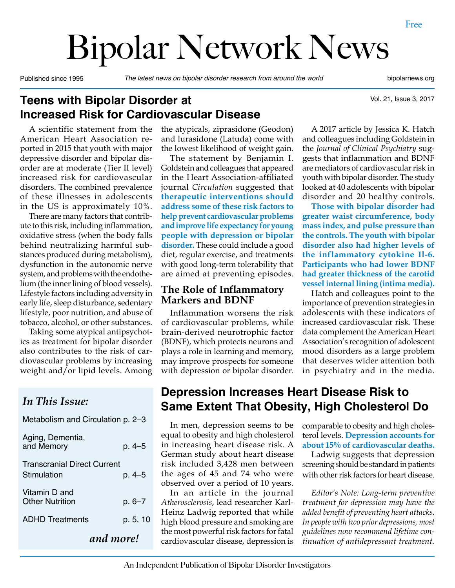# Bipolar Network News

Published since 1995 *The latest news on bipolar disorder research from around the world* bipolarnews.org

Vol. 21, Issue 3, 2017

#### **Teens with Bipolar Disorder at Increased Risk for Cardiovascular Disease**

A scientific statement from the American Heart Association reported in 2015 that youth with major depressive disorder and bipolar disorder are at moderate (Tier II level) increased risk for cardiovascular disorders. The combined prevalence of these illnesses in adolescents in the US is approximately 10%.

There are many factors that contribute to this risk, including inflammation, oxidative stress (when the body falls behind neutralizing harmful substances produced during metabolism), dysfunction in the autonomic nerve system, and problems with the endothelium (the inner lining of blood vessels). Lifestyle factors including adversity in early life, sleep disturbance, sedentary lifestyle, poor nutrition, and abuse of tobacco, alcohol, or other substances.

Taking some atypical antipsychotics as treatment for bipolar disorder also contributes to the risk of cardiovascular problems by increasing weight and/or lipid levels. Among

#### *In This Issue:*

Metabolism and Circulation p. 2–3

|                                                   | and more!  |
|---------------------------------------------------|------------|
| <b>ADHD</b> Treatments                            | p. 5, 10   |
| Vitamin D and<br><b>Other Nutrition</b>           | p. 6–7     |
| <b>Transcranial Direct Current</b><br>Stimulation | p. 4–5     |
| Aging, Dementia,<br>and Memory                    | $p. 4 - 5$ |

the atypicals, ziprasidone (Geodon) and lurasidone (Latuda) come with the lowest likelihood of weight gain.

The statement by Benjamin I. Goldstein and colleagues that appeared in the Heart Association-affiliated journal *Circulation* suggested that **therapeutic interventions should address some of these risk factors to help prevent cardiovascular problems and improve life expectancy for young people with depression or bipolar disorder.** These could include a good diet, regular exercise, and treatments with good long-term tolerability that are aimed at preventing episodes.

#### **The Role of Inflammatory Markers and BDNF**

Inflammation worsens the risk of cardiovascular problems, while brain-derived neurotrophic factor (BDNF), which protects neurons and plays a role in learning and memory, may improve prospects for someone with depression or bipolar disorder.

A 2017 article by Jessica K. Hatch and colleagues including Goldstein in the *Journal of Clinical Psychiatry* suggests that inflammation and BDNF are mediators of cardiovascular risk in youth with bipolar disorder. The study looked at 40 adolescents with bipolar disorder and 20 healthy controls.

**Those with bipolar disorder had greater waist circumference, body mass index, and pulse pressure than the controls. The youth with bipolar disorder also had higher levels of the inflammatory cytokine Il-6. Participants who had lower BDNF had greater thickness of the carotid vessel internal lining (intima media).** 

Hatch and colleagues point to the importance of prevention strategies in adolescents with these indicators of increased cardiovascular risk. These data complement the American Heart Association's recognition of adolescent mood disorders as a large problem that deserves wider attention both in psychiatry and in the media.

#### **Depression Increases Heart Disease Risk to Same Extent That Obesity, High Cholesterol Do**

In men, depression seems to be equal to obesity and high cholesterol in increasing heart disease risk. A German study about heart disease risk included 3,428 men between the ages of 45 and 74 who were observed over a period of 10 years.

In an article in the journal *Atherosclerosis*, lead researcher Karl-Heinz Ladwig reported that while high blood pressure and smoking are the most powerful risk factors for fatal cardiovascular disease, depression is comparable to obesity and high cholesterol levels. **Depression accounts for about 15% of cardiovascular deaths.**

Ladwig suggests that depression screening should be standard in patients with other risk factors for heart disease.

*Editor's Note: Long-term preventive treatment for depression may have the added benefit of preventing heart attacks. In people with two prior depressions, most guidelines now recommend lifetime continuation of antidepressant treatment.*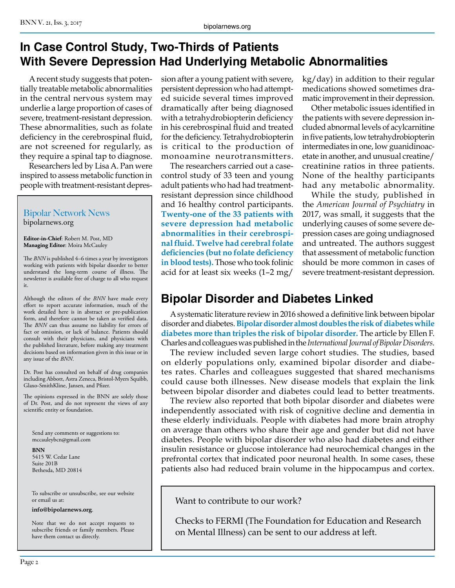#### **In Case Control Study, Two-Thirds of Patients With Severe Depression Had Underlying Metabolic Abnormalities**

A recent study suggests that potentially treatable metabolic abnormalities in the central nervous system may underlie a large proportion of cases of severe, treatment-resistant depression. These abnormalities, such as folate deficiency in the cerebrospinal fluid, are not screened for regularly, as they require a spinal tap to diagnose.

Researchers led by Lisa A. Pan were inspired to assess metabolic function in people with treatment-resistant depres-

Bipolar Network News bipolarnews.org

**Editor-in-Chief**: Robert M. Post, MD **Managing Editor**: Moira McCauley

The *BNN* is published 4–6 times a year by investigators working with patients with bipolar disorder to better understand the long-term course of illness. The newsletter is available free of charge to all who request it.

Although the editors of the *BNN* have made every effort to report accurate information, much of the work detailed here is in abstract or pre-publication form, and therefore cannot be taken as verified data. The *BNN* can thus assume no liability for errors of fact or omission, or lack of balance. Patients should consult with their physicians, and physicians with the published literature, before making any treatment decisions based on information given in this issue or in any issue of the *BNN*.

Dr. Post has consulted on behalf of drug companies including Abbott, Astra Zeneca, Bristol-Myers Squibb, Glaxo-SmithKline, Jansen, and Pfizer.

The opinions expressed in the BNN are solely those of Dr. Post, and do not represent the views of any scientific entity or foundation.

Send any comments or suggestions to: mccauleybcn@gmail.com

**BNN** 5415 W. Cedar Lane Suite 201B Bethesda, MD 20814

To subscribe or unsubscribe, see our website or email us at:

**info@bipolarnews.org**.

Note that we do not accept requests to subscribe friends or family members. Please have them contact us directly.

sion after a young patient with severe, persistent depression who had attempted suicide several times improved dramatically after being diagnosed with a tetrahydrobiopterin deficiency in his cerebrospinal fluid and treated for the deficiency. Tetrahydrobiopterin is critical to the production of monoamine neurotransmitters.

The researchers carried out a casecontrol study of 33 teen and young adult patients who had had treatmentresistant depression since childhood and 16 healthy control participants. **Twenty-one of the 33 patients with severe depression had metabolic abnormalities in their cerebrospinal fluid. Twelve had cerebral folate deficiencies (but no folate deficiency in blood tests).** Those who took folinic acid for at least six weeks (1–2 mg/

kg/day) in addition to their regular medications showed sometimes dramatic improvement in their depression.

Other metabolic issues identified in the patients with severe depression included abnormal levels of acylcarnitine in five patients, low tetrahydrobiopterin intermediates in one, low guanidinoacetate in another, and unusual creatine/ creatinine ratios in three patients. None of the healthy participants had any metabolic abnormality.

While the study, published in the *American Journal of Psychiatry* in 2017, was small, it suggests that the underlying causes of some severe depression cases are going undiagnosed and untreated. The authors suggest that assessment of metabolic function should be more common in cases of severe treatment-resistant depression.

#### **Bipolar Disorder and Diabetes Linked**

A systematic literature review in 2016 showed a definitive link between bipolar disorder and diabetes. **Bipolar disorder almost doubles the risk of diabetes while diabetes more than triples the risk of bipolar disorder.** The article by Ellen F. Charles and colleagues was published in the *International Journal of Bipolar Disorders*.

The review included seven large cohort studies. The studies, based on elderly populations only, examined bipolar disorder and diabetes rates. Charles and colleagues suggested that shared mechanisms could cause both illnesses. New disease models that explain the link between bipolar disorder and diabetes could lead to better treatments.

The review also reported that both bipolar disorder and diabetes were independently associated with risk of cognitive decline and dementia in these elderly individuals. People with diabetes had more brain atrophy on average than others who share their age and gender but did not have diabetes. People with bipolar disorder who also had diabetes and either insulin resistance or glucose intolerance had neurochemical changes in the prefrontal cortex that indicated poor neuronal health. In some cases, these patients also had reduced brain volume in the hippocampus and cortex.

Want to contribute to our work?

Checks to FERMI (The Foundation for Education and Research on Mental Illness) can be sent to our address at left.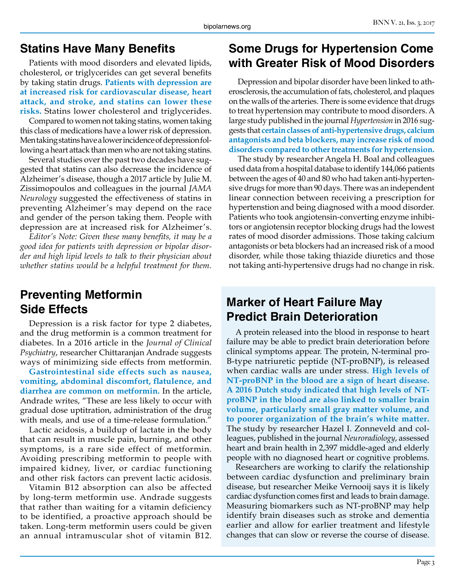#### **Statins Have Many Benefits**

Patients with mood disorders and elevated lipids, cholesterol, or triglycerides can get several benefits by taking statin drugs. **Patients with depression are at increased risk for cardiovascular disease, heart attack, and stroke, and statins can lower these risks.** Statins lower cholesterol and triglycerides.

Compared to women not taking statins, women taking this class of medications have a lower risk of depression. Men taking statins have a lower incidence of depression following a heart attack than men who are not taking statins.

Several studies over the past two decades have suggested that statins can also decrease the incidence of Alzheimer's disease, though a 2017 article by Julie M. Zissimopoulos and colleagues in the journal *JAMA Neurology* suggested the effectiveness of statins in preventing Alzheimer's may depend on the race and gender of the person taking them. People with depression are at increased risk for Alzheimer's.

*Editor's Note: Given these many benefits, it may be a good idea for patients with depression or bipolar disorder and high lipid levels to talk to their physician about whether statins would be a helpful treatment for them.*

#### **Preventing Metformin Side Effects**

Depression is a risk factor for type 2 diabetes, and the drug metformin is a common treatment for diabetes. In a 2016 article in the *Journal of Clinical Psychiatry*, researcher Chittaranjan Andrade suggests ways of minimizing side effects from metformin.

**Gastrointestinal side effects such as nausea, vomiting, abdominal discomfort, flatulence, and diarrhea are common on metformin.** In the article, Andrade writes, "These are less likely to occur with gradual dose uptitration, administration of the drug with meals, and use of a time-release formulation."

Lactic acidosis, a buildup of lactate in the body that can result in muscle pain, burning, and other symptoms, is a rare side effect of metformin. Avoiding prescribing metformin to people with impaired kidney, liver, or cardiac functioning and other risk factors can prevent lactic acidosis.

Vitamin B12 absorption can also be affected by long-term metformin use. Andrade suggests that rather than waiting for a vitamin deficiency to be identified, a proactive approach should be taken. Long-term metformin users could be given an annual intramuscular shot of vitamin B12.

## **Some Drugs for Hypertension Come with Greater Risk of Mood Disorders**

Depression and bipolar disorder have been linked to atherosclerosis, the accumulation of fats, cholesterol, and plaques on the walls of the arteries. There is some evidence that drugs to treat hypertension may contribute to mood disorders. A large study published in the journal *Hypertension* in 2016 suggests that **certain classes of anti-hypertensive drugs, calcium antagonists and beta blockers, may increase risk of mood disorders compared to other treatments for hypertension.**

The study by researcher Angela H. Boal and colleagues used data from a hospital database to identify 144,066 patients between the ages of 40 and 80 who had taken anti-hypertensive drugs for more than 90 days. There was an independent linear connection between receiving a prescription for hypertenstion and being diagnosed with a mood disorder. Patients who took angiotensin-converting enzyme inhibitors or angiotensin receptor blocking drugs had the lowest rates of mood disorder admissions. Those taking calcium antagonists or beta blockers had an increased risk of a mood disorder, while those taking thiazide diuretics and those not taking anti-hypertensive drugs had no change in risk.

### **Marker of Heart Failure May Predict Brain Deterioration**

A protein released into the blood in response to heart failure may be able to predict brain deterioration before clinical symptoms appear. The protein, N-terminal pro-B-type natriuretic peptide (NT-proBNP), is released when cardiac walls are under stress. **High levels of NT-proBNP in the blood are a sign of heart disease. A 2016 Dutch study indicated that high levels of NTproBNP in the blood are also linked to smaller brain volume, particularly small gray matter volume, and to poorer organization of the brain's white matter.**  The study by researcher Hazel I. Zonneveld and colleagues, published in the journal *Neuroradiology*, assessed heart and brain health in 2,397 middle-aged and elderly people with no diagnosed heart or cognitive problems.

Researchers are working to clarify the relationship between cardiac dysfunction and preliminary brain disease, but researcher Meike Vernooij says it is likely cardiac dysfunction comes first and leads to brain damage. Measuring biomarkers such as NT-proBNP may help identify brain diseases such as stroke and dementia earlier and allow for earlier treatment and lifestyle changes that can slow or reverse the course of disease.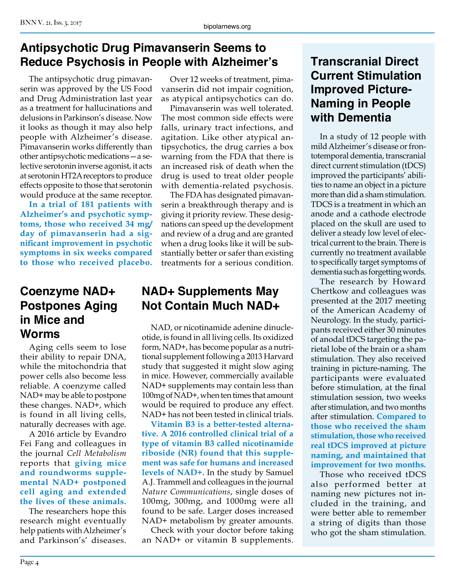## **Antipsychotic Drug Pimavanserin Seems to Reduce Psychosis in People with Alzheimer's**

The antipsychotic drug pimavanserin was approved by the US Food and Drug Administration last year as a treatment for hallucinations and delusions in Parkinson's disease. Now it looks as though it may also help people with Alzheimer's disease. Pimavanserin works differently than other antipsychotic medications—a selective serotonin inverse agonist, it acts at serotonin HT2A receptors to produce effects opposite to those that serotonin would produce at the same receptor.

**In a trial of 181 patients with Alzheimer's and psychotic symptoms, those who received 34 mg/ day of pimavanserin had a significant improvement in psychotic symptoms in six weeks compared to those who received placebo.**

#### **Coenzyme NAD+ Postpones Aging in Mice and Worms**

Aging cells seem to lose their ability to repair DNA, while the mitochondria that power cells also become less reliable. A coenzyme called NAD+ may be able to postpone these changes. NAD+, which is found in all living cells, naturally decreases with age.

A 2016 article by Evandro Fei Fang and colleagues in the journal *Cell Metabolism*  reports that **giving mice and roundworms supplemental NAD+ postponed cell aging and extended the lives of these animals.**

The researchers hope this research might eventually help patients with Alzheimer's and Parkinson's' diseases.

Over 12 weeks of treatment, pimavanserin did not impair cognition, as atypical antipsychotics can do.

Pimavanserin was well tolerated. The most common side effects were falls, urinary tract infections, and agitation. Like other atypical antipsychotics, the drug carries a box warning from the FDA that there is an increased risk of death when the drug is used to treat older people with dementia-related psychosis.

The FDA has designated pimavanserin a breakthrough therapy and is giving it priority review. These designations can speed up the development and review of a drug and are granted when a drug looks like it will be substantially better or safer than existing treatments for a serious condition.

## **NAD+ Supplements May Not Contain Much NAD+**

NAD, or nicotinamide adenine dinucleotide, is found in all living cells. Its oxidized form, NAD+, has become popular as a nutritional supplement following a 2013 Harvard study that suggested it might slow aging in mice. However, commercially available NAD+ supplements may contain less than 100mg of NAD+, when ten times that amount would be required to produce any effect. NAD+ has not been tested in clinical trials.

**Vitamin B3 is a better-tested alternative. A 2016 controlled clinical trial of a type of vitamin B3 called nicotinamide riboside (NR) found that this supplement was safe for humans and increased levels of NAD+.** In the study by Samuel A.J. Trammell and colleagues in the journal *Nature Communications*, single doses of 100mg, 300mg, and 1000mg were all found to be safe. Larger doses increased NAD+ metabolism by greater amounts.

Check with your doctor before taking an NAD+ or vitamin B supplements.

## **Transcranial Direct Current Stimulation Improved Picture-Naming in People with Dementia**

In a study of 12 people with mild Alzheimer's disease or frontotemporal dementia, transcranial direct current stimulation (tDCS) improved the participants' abilities to name an object in a picture more than did a sham stimulation. TDCS is a treatment in which an anode and a cathode electrode placed on the skull are used to deliver a steady low level of electrical current to the brain. There is currently no treatment available to specifically target symptoms of dementia such as forgetting words.

The research by Howard Chertkow and colleagues was presented at the 2017 meeting of the American Academy of Neurology. In the study, participants received either 30 minutes of anodal tDCS targeting the parietal lobe of the brain or a sham stimulation. They also received training in picture-naming. The participants were evaluated before stimulation, at the final stimulation session, two weeks after stimulation, and two months after stimulation. **Compared to those who received the sham stimulation, those who received real tDCS improved at picture naming, and maintained that improvement for two months.**

Those who received tDCS also performed better at naming new pictures not included in the training, and were better able to remember a string of digits than those who got the sham stimulation.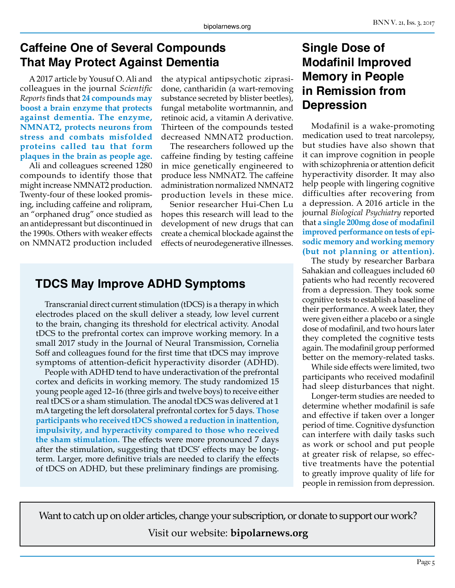#### **Caffeine One of Several Compounds That May Protect Against Dementia**

A 2017 article by Yousuf O. Ali and colleagues in the journal *Scientific Reports* finds that **24 compounds may boost a brain enzyme that protects against dementia. The enzyme, NMNAT2, protects neurons from stress and combats misfolded proteins called tau that form plaques in the brain as people age.**

Ali and colleagues screened 1280 compounds to identify those that might increase NMNAT2 production. Twenty-four of these looked promising, including caffeine and rolipram, an "orphaned drug" once studied as an antidepressant but discontinued in the 1990s. Others with weaker effects on NMNAT2 production included the atypical antipsychotic ziprasidone, cantharidin (a wart-removing substance secreted by blister beetles), fungal metabolite wortmannin, and retinoic acid, a vitamin A derivative. Thirteen of the compounds tested decreased NMNAT2 production.

The researchers followed up the caffeine finding by testing caffeine in mice genetically engineered to produce less NMNAT2. The caffeine administration normalized NMNAT2 production levels in these mice.

Senior researcher Hui-Chen Lu hopes this research will lead to the development of new drugs that can create a chemical blockade against the effects of neurodegenerative illnesses.

### **TDCS May Improve ADHD Symptoms**

Transcranial direct current stimulation (tDCS) is a therapy in which electrodes placed on the skull deliver a steady, low level current to the brain, changing its threshold for electrical activity. Anodal tDCS to the prefrontal cortex can improve working memory. In a small 2017 study in the Journal of Neural Transmission, Cornelia Soff and colleagues found for the first time that tDCS may improve symptoms of attention-deficit hyperactivity disorder (ADHD).

People with ADHD tend to have underactivation of the prefrontal cortex and deficits in working memory. The study randomized 15 young people aged 12–16 (three girls and twelve boys) to receive either real tDCS or a sham stimulation. The anodal tDCS was delivered at 1 mA targeting the left dorsolateral prefrontal cortex for 5 days. **Those participants who received tDCS showed a reduction in inattention, impulsivity, and hyperactivity compared to those who received the sham stimulation.** The effects were more pronounced 7 days after the stimulation, suggesting that tDCS' effects may be longterm. Larger, more definitive trials are needed to clarify the effects of tDCS on ADHD, but these preliminary findings are promising.

#### **Single Dose of Modafinil Improved Memory in People in Remission from Depression**

Modafinil is a wake-promoting medication used to treat narcolepsy, but studies have also shown that it can improve cognition in people with schizophrenia or attention deficit hyperactivity disorder. It may also help people with lingering cognitive difficulties after recovering from a depression. A 2016 article in the journal *Biological Psychiatry* reported that **a single 200mg dose of modafinil improved performance on tests of episodic memory and working memory (but not planning or attention).**

The study by researcher Barbara Sahakian and colleagues included 60 patients who had recently recovered from a depression. They took some cognitive tests to establish a baseline of their performance. A week later, they were given either a placebo or a single dose of modafinil, and two hours later they completed the cognitive tests again. The modafinil group performed better on the memory-related tasks.

While side effects were limited, two participants who received modafinil had sleep disturbances that night.

Longer-term studies are needed to determine whether modafinil is safe and effective if taken over a longer period of time. Cognitive dysfunction can interfere with daily tasks such as work or school and put people at greater risk of relapse, so effective treatments have the potential to greatly improve quality of life for people in remission from depression.

Want to catch up on older articles, change your subscription, or donate to support our work?

Visit our website: **bipolarnews.org**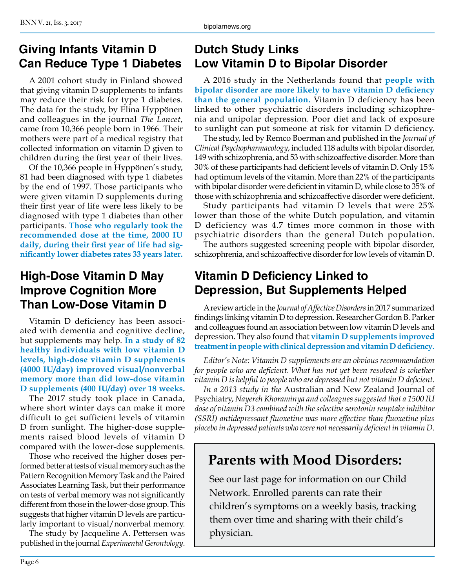#### **Giving Infants Vitamin D Can Reduce Type 1 Diabetes**

A 2001 cohort study in Finland showed that giving vitamin D supplements to infants may reduce their risk for type 1 diabetes. The data for the study, by Elina Hyppönen and colleagues in the journal *The Lancet*, came from 10,366 people born in 1966. Their mothers were part of a medical registry that collected information on vitamin D given to children during the first year of their lives.

Of the 10,366 people in Hyppönen's study, 81 had been diagnosed with type 1 diabetes by the end of 1997. Those participants who were given vitamin D supplements during their first year of life were less likely to be diagnosed with type 1 diabetes than other participants. **Those who regularly took the recommended dose at the time, 2000 IU daily, during their first year of life had significantly lower diabetes rates 33 years later.**

### **High-Dose Vitamin D May Improve Cognition More Than Low-Dose Vitamin D**

Vitamin D deficiency has been associated with dementia and cognitive decline, but supplements may help. **In a study of 82 healthy individuals with low vitamin D levels, high-dose vitamin D supplements (4000 IU/day) improved visual/nonverbal memory more than did low-dose vitamin D supplements (400 IU/day) over 18 weeks.**

The 2017 study took place in Canada, where short winter days can make it more difficult to get sufficient levels of vitamin D from sunlight. The higher-dose supplements raised blood levels of vitamin D compared with the lower-dose supplements.

Those who received the higher doses performed better at tests of visual memory such as the Pattern Recognition Memory Task and the Paired Associates Learning Task, but their performance on tests of verbal memory was not significantly different from those in the lower-dose group. This suggests that higher vitamin D levels are particularly important to visual/nonverbal memory.

The study by Jacqueline A. Pettersen was published in the journal *Experimental Gerontology*.

## **Dutch Study Links Low Vitamin D to Bipolar Disorder**

A 2016 study in the Netherlands found that **people with bipolar disorder are more likely to have vitamin D deficiency than the general population.** Vitamin D deficiency has been linked to other psychiatric disorders including schizophrenia and unipolar depression. Poor diet and lack of exposure to sunlight can put someone at risk for vitamin D deficiency.

The study, led by Remco Boerman and published in the *Journal of Clinical Psychopharmacology*, included 118 adults with bipolar disorder, 149 with schizophrenia, and 53 with schizoaffective disorder. More than 30% of these participants had deficient levels of vitamin D. Only 15% had optimum levels of the vitamin. More than 22% of the participants with bipolar disorder were deficient in vitamin D, while close to 35% of those with schizophrenia and schizoaffective disorder were deficient.

Study participants had vitamin D levels that were 25% lower than those of the white Dutch population, and vitamin D deficiency was 4.7 times more common in those with psychiatric disorders than the general Dutch population.

The authors suggested screening people with bipolar disorder, schizophrenia, and schizoaffective disorder for low levels of vitamin D.

#### **Vitamin D Deficiency Linked to Depression, But Supplements Helped**

A review article in the *Journal of Affective Disorders* in 2017 summarized findings linking vitamin D to depression. Researcher Gordon B. Parker and colleagues found an association between low vitamin D levels and depression. They also found that **vitamin D supplements improved treatment in people with clinical depression and vitamin D deficiency.**

*Editor's Note: Vitamin D supplements are an obvious recommendation*  for people who are deficient. What has not yet been resolved is whether *vitamin D is helpful to people who are depressed but not vitamin D deficient.* 

*In a 2013 study in the* Australian and New Zealand Journal of Psychiatry, *Nayereh Khoraminya and colleagues suggested that a 1500 IU dose of vitamin D3 combined with the selective serotonin reuptake inhibitor (SSRI) antidepressant fluoxetine was more effective than fluoxetine plus placebo in depressed patients who were not necessarily deficient in vitamin D.*

## **Parents with Mood Disorders:**

See our last page for information on our Child Network. Enrolled parents can rate their children's symptoms on a weekly basis, tracking them over time and sharing with their child's physician.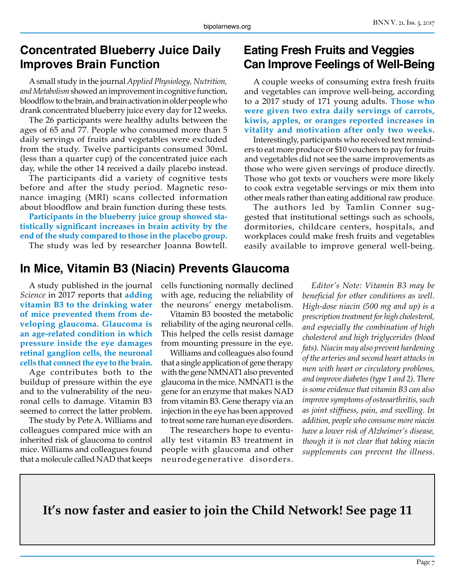#### **Concentrated Blueberry Juice Daily Improves Brain Function**

A small study in the journal *Applied Physiology, Nutrition, and Metabolism* showed an improvement in cognitive function, bloodflow to the brain, and brain activation in older people who drank concentrated blueberry juice every day for 12 weeks.

The 26 participants were healthy adults between the ages of 65 and 77. People who consumed more than 5 daily servings of fruits and vegetables were excluded from the study. Twelve participants consumed 30mL (less than a quarter cup) of the concentrated juice each day, while the other 14 received a daily placebo instead.

The participants did a variety of cognitive tests before and after the study period. Magnetic resonance imaging (MRI) scans collected information about bloodflow and brain function during these tests.

**Participants in the blueberry juice group showed statistically significant increases in brain activity by the end of the study compared to those in the placebo group.** The study was led by researcher Joanna Bowtell.

#### **Eating Fresh Fruits and Veggies Can Improve Feelings of Well-Being**

A couple weeks of consuming extra fresh fruits and vegetables can improve well-being, according to a 2017 study of 171 young adults. **Those who were given two extra daily servings of carrots, kiwis, apples, or oranges reported increases in vitality and motivation after only two weeks.**

Interestingly, participants who received text reminders to eat more produce or \$10 vouchers to pay for fruits and vegetables did not see the same improvements as those who were given servings of produce directly. Those who got texts or vouchers were more likely to cook extra vegetable servings or mix them into other meals rather than eating additional raw produce.

The authors led by Tamlin Conner suggested that institutional settings such as schools, dormitories, childcare centers, hospitals, and workplaces could make fresh fruits and vegetables easily available to improve general well-being.

### **In Mice, Vitamin B3 (Niacin) Prevents Glaucoma**

A study published in the journal *Science* in 2017 reports that **adding vitamin B3 to the drinking water of mice prevented them from developing glaucoma. Glaucoma is an age-related condition in which pressure inside the eye damages retinal ganglion cells, the neuronal cells that connect the eye to the brain.**

Age contributes both to the buildup of pressure within the eye and to the vulnerability of the neuronal cells to damage. Vitamin B3 seemed to correct the latter problem.

The study by Pete A. Williams and colleagues compared mice with an inherited risk of glaucoma to control mice. Williams and colleagues found that a molecule called NAD that keeps cells functioning normally declined with age, reducing the reliability of the neurons' energy metabolism.

Vitamin B3 boosted the metabolic reliability of the aging neuronal cells. This helped the cells resist damage from mounting pressure in the eye.

Williams and colleagues also found that a single application of gene therapy with the gene NMNAT1 also prevented glaucoma in the mice. NMNAT1 is the gene for an enzyme that makes NAD from vitamin B3. Gene therapy via an injection in the eye has been approved to treat some rare human eye disorders.

The researchers hope to eventually test vitamin B3 treatment in people with glaucoma and other neurodegenerative disorders.

*Editor's Note: Vitamin B3 may be beneficial for other conditions as well. High-dose niacin (500 mg and up) is a prescription treatment for high cholesterol, and especially the combination of high cholesterol and high triglycerides (blood fats). Niacin may also prevent hardening of the arteries and second heart attacks in men with heart or circulatory problems, and improve diabetes (type 1 and 2). There is some evidence that vitamin B3 can also improve symptoms of osteoarthritis, such as joint stiffness, pain, and swelling. In addition, people who consume more niacin have a lower risk of Alzheimer's disease, though it is not clear that taking niacin supplements can prevent the illness.*

**It's now faster and easier to join the Child Network! See page 11**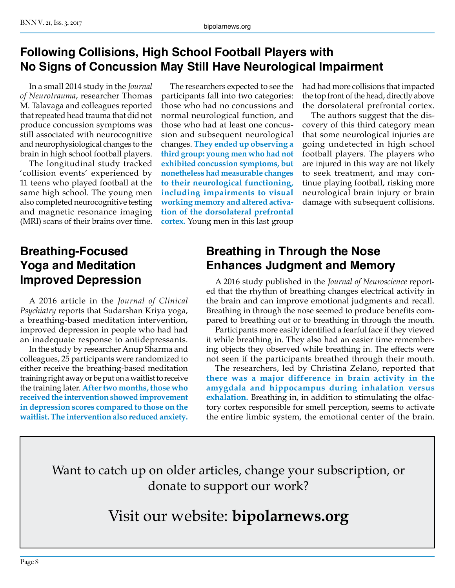#### **Following Collisions, High School Football Players with No Signs of Concussion May Still Have Neurological Impairment**

In a small 2014 study in the *Journal of Neurotrauma*, researcher Thomas M. Talavaga and colleagues reported that repeated head trauma that did not produce concussion symptoms was still associated with neurocognitive and neurophysiological changes to the brain in high school football players.

The longitudinal study tracked 'collision events' experienced by 11 teens who played football at the same high school. The young men also completed neurocognitive testing and magnetic resonance imaging (MRI) scans of their brains over time.

The researchers expected to see the participants fall into two categories: those who had no concussions and normal neurological function, and those who had at least one concussion and subsequent neurological changes. **They ended up observing a third group: young men who had not exhibited concussion symptoms, but nonetheless had measurable changes to their neurological functioning, including impairments to visual working memory and altered activation of the dorsolateral prefrontal cortex.** Young men in this last group

had had more collisions that impacted the top front of the head, directly above the dorsolateral prefrontal cortex.

The authors suggest that the discovery of this third category mean that some neurological injuries are going undetected in high school football players. The players who are injured in this way are not likely to seek treatment, and may continue playing football, risking more neurological brain injury or brain damage with subsequent collisions.

#### **Breathing-Focused Yoga and Meditation Improved Depression**

A 2016 article in the *Journal of Clinical Psychiatry* reports that Sudarshan Kriya yoga, a breathing-based meditation intervention, improved depression in people who had had an inadequate response to antidepressants.

In the study by researcher Anup Sharma and colleagues, 25 participants were randomized to either receive the breathing-based meditation training right away or be put on a waitlist to receive the training later. **After two months, those who received the intervention showed improvement in depression scores compared to those on the waitlist. The intervention also reduced anxiety.**

### **Breathing in Through the Nose Enhances Judgment and Memory**

A 2016 study published in the *Journal of Neuroscience* reported that the rhythm of breathing changes electrical activity in the brain and can improve emotional judgments and recall. Breathing in through the nose seemed to produce benefits compared to breathing out or to breathing in through the mouth.

Participants more easily identified a fearful face if they viewed it while breathing in. They also had an easier time remembering objects they observed while breathing in. The effects were not seen if the participants breathed through their mouth.

The researchers, led by Christina Zelano, reported that **there was a major difference in brain activity in the amygdala and hippocampus during inhalation versus exhalation.** Breathing in, in addition to stimulating the olfactory cortex responsible for smell perception, seems to activate the entire limbic system, the emotional center of the brain.

Want to catch up on older articles, change your subscription, or donate to support our work?

Visit our website: **bipolarnews.org**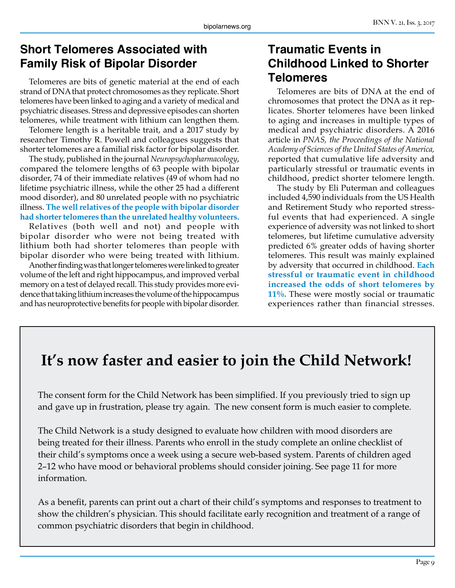#### **Short Telomeres Associated with Family Risk of Bipolar Disorder**

Telomeres are bits of genetic material at the end of each strand of DNA that protect chromosomes as they replicate. Short telomeres have been linked to aging and a variety of medical and psychiatric diseases. Stress and depressive episodes can shorten telomeres, while treatment with lithium can lengthen them.

Telomere length is a heritable trait, and a 2017 study by researcher Timothy R. Powell and colleagues suggests that shorter telomeres are a familial risk factor for bipolar disorder.

The study, published in the journal *Neuropsychopharmacology*, compared the telomere lengths of 63 people with bipolar disorder, 74 of their immediate relatives (49 of whom had no lifetime psychiatric illness, while the other 25 had a different mood disorder), and 80 unrelated people with no psychiatric illness. **The well relatives of the people with bipolar disorder had shorter telomeres than the unrelated healthy volunteers.** 

Relatives (both well and not) and people with bipolar disorder who were not being treated with lithium both had shorter telomeres than people with bipolar disorder who were being treated with lithium.

Another finding was that longer telomeres were linked to greater volume of the left and right hippocampus, and improved verbal memory on a test of delayed recall. This study provides more evidence that taking lithium increases the volume of the hippocampus and has neuroprotective benefits for people with bipolar disorder.

#### **Traumatic Events in Childhood Linked to Shorter Telomeres**

Telomeres are bits of DNA at the end of chromosomes that protect the DNA as it replicates. Shorter telomeres have been linked to aging and increases in multiple types of medical and psychiatric disorders. A 2016 article in *PNAS, the Proceedings of the National Academy of Sciences of the United States of America,* reported that cumulative life adversity and particularly stressful or traumatic events in childhood, predict shorter telomere length.

The study by Eli Puterman and colleagues included 4,590 individuals from the US Health and Retirement Study who reported stressful events that had experienced. A single experience of adversity was not linked to short telomeres, but lifetime cumulative adversity predicted 6% greater odds of having shorter telomeres. This result was mainly explained by adversity that occurred in childhood. **Each stressful or traumatic event in childhood increased the odds of short telomeres by 11%.** These were mostly social or traumatic experiences rather than financial stresses.

# **It's now faster and easier to join the Child Network!**

The consent form for the Child Network has been simplified. If you previously tried to sign up and gave up in frustration, please try again. The new consent form is much easier to complete.

The Child Network is a study designed to evaluate how children with mood disorders are being treated for their illness. Parents who enroll in the study complete an online checklist of their child's symptoms once a week using a secure web-based system. Parents of children aged 2–12 who have mood or behavioral problems should consider joining. See page 11 for more information.

As a benefit, parents can print out a chart of their child's symptoms and responses to treatment to show the children's physician. This should facilitate early recognition and treatment of a range of common psychiatric disorders that begin in childhood.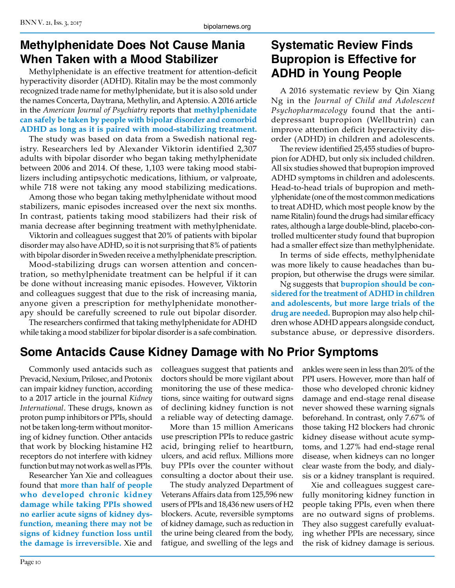## **Methylphenidate Does Not Cause Mania When Taken with a Mood Stabilizer**

Methylphenidate is an effective treatment for attention-deficit hyperactivity disorder (ADHD). Ritalin may be the most commonly recognized trade name for methylphenidate, but it is also sold under the names Concerta, Daytrana, Methylin, and Aptensio. A 2016 article in the *American Journal of Psychiatry* reports that **methylphenidate can safely be taken by people with bipolar disorder and comorbid ADHD as long as it is paired with mood-stabilizing treatment.**

The study was based on data from a Swedish national registry. Researchers led by Alexander Viktorin identified 2,307 adults with bipolar disorder who began taking methylphenidate between 2006 and 2014. Of these, 1,103 were taking mood stabilizers including antipsychotic medications, lithium, or valproate, while 718 were not taking any mood stabilizing medications.

Among those who began taking methylphenidate without mood stabilizers, manic episodes increased over the next six months. In contrast, patients taking mood stabilizers had their risk of mania decrease after beginning treatment with methylphenidate.

Viktorin and colleagues suggest that 20% of patients with bipolar disorder may also have ADHD, so it is not surprising that 8% of patients with bipolar disorder in Sweden receive a methylphenidate prescription.

Mood-stabilizing drugs can worsen attention and concentration, so methylphenidate treatment can be helpful if it can be done without increasing manic episodes. However, Viktorin and colleagues suggest that due to the risk of increasing mania, anyone given a prescription for methylphenidate monotherapy should be carefully screened to rule out bipolar disorder.

The researchers confirmed that taking methylphenidate for ADHD while taking a mood stabilizer for bipolar disorder is a safe combination.

#### **Systematic Review Finds Bupropion is Effective for ADHD in Young People**

A 2016 systematic review by Qin Xiang Ng in the *Journal of Child and Adolescent Psychopharmacology* found that the antidepressant bupropion (Wellbutrin) can improve attention deficit hyperactivity disorder (ADHD) in children and adolescents.

The review identified 25,455 studies of bupropion for ADHD, but only six included children. All six studies showed that bupropion improved ADHD symptoms in children and adolescents. Head-to-head trials of bupropion and methylphenidate (one of the most common medications to treat ADHD, which most people know by the name Ritalin) found the drugs had similar efficacy rates, although a large double-blind, placebo-controlled multicenter study found that bupropion had a smaller effect size than methylphenidate.

In terms of side effects, methylphenidate was more likely to cause headaches than bupropion, but otherwise the drugs were similar.

Ng suggests that **bupropion should be considered for the treatment of ADHD in children and adolescents, but more large trials of the drug are needed.** Bupropion may also help children whose ADHD appears alongside conduct, substance abuse, or depressive disorders.

## **Some Antacids Cause Kidney Damage with No Prior Symptoms**

Commonly used antacids such as Prevacid, Nexium, Prilosec, and Protonix can impair kidney function, according to a 2017 article in the journal *Kidney International*. These drugs, known as proton pump inhibitors or PPIs, should not be taken long-term without monitoring of kidney function. Other antacids that work by blocking histamine H2 receptors do not interfere with kidney function but may not work as well as PPIs.

Researcher Yan Xie and colleagues found that **more than half of people who developed chronic kidney damage while taking PPIs showed no earlier acute signs of kidney dysfunction, meaning there may not be signs of kidney function loss until the damage is irreversible.** Xie and colleagues suggest that patients and doctors should be more vigilant about monitoring the use of these medications, since waiting for outward signs of declining kidney function is not a reliable way of detecting damage.

More than 15 million Americans use prescription PPIs to reduce gastric acid, bringing relief to heartburn, ulcers, and acid reflux. Millions more buy PPIs over the counter without consulting a doctor about their use.

The study analyzed Department of Veterans Affairs data from 125,596 new users of PPIs and 18,436 new users of H2 blockers. Acute, reversible symptoms of kidney damage, such as reduction in the urine being cleared from the body, fatigue, and swelling of the legs and ankles were seen in less than 20% of the PPI users. However, more than half of those who developed chronic kidney damage and end-stage renal disease never showed these warning signals beforehand. In contrast, only 7.67% of those taking H2 blockers had chronic kidney disease without acute symptoms, and 1.27% had end-stage renal disease, when kidneys can no longer clear waste from the body, and dialysis or a kidney transplant is required.

Xie and colleagues suggest carefully monitoring kidney function in people taking PPIs, even when there are no outward signs of problems. They also suggest carefully evaluating whether PPIs are necessary, since the risk of kidney damage is serious.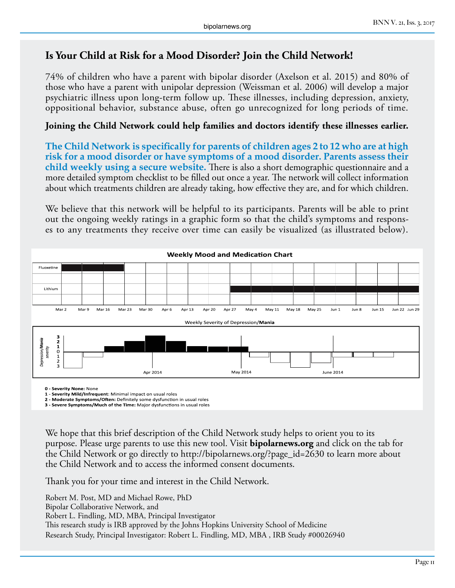#### **Is Your Child at Risk for a Mood Disorder? Join the Child Network!**

74% of children who have a parent with bipolar disorder (Axelson et al. 2015) and 80% of those who have a parent with unipolar depression (Weissman et al. 2006) will develop a major psychiatric illness upon long-term follow up. These illnesses, including depression, anxiety, oppositional behavior, substance abuse, often go unrecognized for long periods of time.

#### **Joining the Child Network could help families and doctors identify these illnesses earlier.**

**The Child Network is specifically for parents of children ages 2 to 12 who are at high risk for a mood disorder or have symptoms of a mood disorder. Parents assess their child weekly using a secure website.** There is also a short demographic questionnaire and a more detailed symptom checklist to be filled out once a year. The network will collect information about which treatments children are already taking, how effective they are, and for which children.

We believe that this network will be helpful to its participants. Parents will be able to print out the ongoing weekly ratings in a graphic form so that the child's symptoms and responses to any treatments they receive over time can easily be visualized (as illustrated below).



**0 - Severity None:** None

**1 - Severity Mild/Infrequent**: Minimal impact on usual roles

**2 - Moderate Symptoms/Often:** Definitely some dysfunction in usual roles **3 - Severe Symptoms/Much of the Time:** Major dysfunctions in usual roles

We hope that this brief description of the Child Network study helps to orient you to its purpose. Please urge parents to use this new tool. Visit **bipolarnews.org** and click on the tab for the Child Network or go directly to http://bipolarnews.org/?page\_id=2630 to learn more about the Child Network and to access the informed consent documents.

Thank you for your time and interest in the Child Network.

Robert M. Post, MD and Michael Rowe, PhD Bipolar Collaborative Network, and Robert L. Findling, MD, MBA, Principal Investigator This research study is IRB approved by the Johns Hopkins University School of Medicine Research Study, Principal Investigator: Robert L. Findling, MD, MBA , IRB Study #00026940